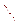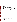# **Technical Factsheet on: GLYPHOSATE**

[List of Contaminants](http://www.epa.gov/safewater/hfacts.html) 

 As part of the Drinking Water and Health pages, this fact sheet is part of a larger publication: **National Primary Drinking Water Regulations** 

 MCL: 0.7 mg/L HAL(child): 1- to 10- day: 20 mg/L; Longer-term: 1 mg/L Drinking Water Standards MCLG: 0.7 mg/L

## **Health Effects Summary**

Acute: EPA has found glyphosate to potentially cause the following health effects from acute exposures at levels above the MCL: congestion of the lungs; increased breathing rate.

 consuming 1 liter of water per day, upto a ten-day exposure to 20 mg/L or up to a 7-year exposure to 1 Drinking water levels which are considered "safe" for short-term exposures: For a 10-kg (22 lb.) child mg/L.

 levels above the MCL: kidney damage, reproductive effects. Chronic: Glyphosate has the potential to cause the following health effects from long-term exposures at

 cancer from a lifetime exposure in drinking water. Cancer: There is inadequate evidence to state whether or not glyphosate has the potential to cause

#### **Usage Patterns**

 Glyphosate is a non-selective herbicide registered for use on many food and non-food crops as well as non-crop areas where total vegetation control is desired. When applied at lower rates, it serves as a plant growth regulator. The most common uses include control of broadleaf weeds and grasses in : hay/pasture, soybeans, field corn; ornamentals, lawns, turf, forest plantings, greenhouses, rights-of-way.

 Glyphosate is among the most widely used pesticides by volume. In 1986, an estimated 6,308,000 pounds of glyphosate was used in the United Sates. Usage in 1990 was estimated to be 11,595,000 pounds. It ranked eleventh among conventional pesticides in the US during 1990-91. In recent years, 13 to 20 million acres were treated with 18.7 million lbs. annually. Glyphosate is generally sold as the isopropylamine salt and applied as a liquid foliar spray.

#### **Release Patterns**

 Glyphosate is released to the environment in its use as a herbicide for controlling woody and herbaceous weeds on forestry, right-of-way, cropped and non-cropped sites. These sites may be around water and in wetlands.

 It may also be released to the environment during its manufacture, formulation, transport, storage, disposal and cleanup, and from spills. Since glyphosate is not a listed chemical in the Toxics Release Inventory, data on releases during its manufacture and handling are not available.

#### **Environmental Fate**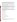spraying, it is strongly adsorbed to soil, remains in the upper soil layers, and has a low propensity for calcium clays and was readily bound to kaolinite, illite, bentonite, charcoal and muck but not to ethyl cellulose. Glyphosate is most often applied as a spray of the isopropylamine salt and is removed from the atmosphere by gravitational settling. After glyphosate is applied to forests, fields, and other land by leaching. Iron and aluminum clays and organic matter adsorbed more glyphosate than sodium and

 studies, residues are often found the following year. Glyphosate readily and completely biodegrades in soil even under low temperature conditions. Its average half-life in soil is about 60 days. Biodegradation in foliage and litter is somewhat faster. In field

 sediment rise and then decline to low levels in a few months. Due to its ionic state in water, glyphosate Glyphosate may enter aquatic systems through accidental spraying, spray drift, or surface runoff. It dissipates rapidly from the water column as a result of adsorption and possibly biodegradation. The halflife in water is a few days. Sediment is the primary sink for glyphosate. After spraying, glyphosate levels in would not be expected to volatilize from water or soil.

 Based on its water solubility, glyphosate is not expected to bioconcentrate in aquatic organisms. It is following a 10-14 day exposure period was 0.2 to 0.3. minimally retained and rapidly eliminated in fish, birds, and mammals. The BCF of glyphosate in fish

 contact during spraying, mixing, and cleanup. They may also be exposed by touching soil and plants to Occupational workers and home gardeners may be exposed to glyphosate by inhalation and dermal which glyphosate was applied. Occupational exposure may also occur during glyphosate's manufacture, transport storage, and disposal.

#### **Chemical/ Physical Properties**

CAS Number: 1071-83-6

Color/ Form/Odor: Odorless white crystals<br>M.P.: 230 C B.P.: N/A<br>Vapor Pressure: Negligible

M.P.: 230 C B.P.: N/A

Octanol/Water Partition (Kow): N/A

Density/Spec. Grav.: 0.5g/ml at 15 C

Solubility: 12 g/L of water at 25 C; Soluble in water

Soil sorption coefficient: Strong, reversible adsorption

Odor/Taste Thresholds: N/A

Henry's Law Coefficient: N/A

Bioconcentration Factor: BCF <1 in fish; not expected to bioconcentrate in aquatic organisms.

Trade Names/Synonyms: N-(phosphonomethyl) glycine; Glialka; Roundup; Sting; Rodeo; Spasor; Muster; Tumbleweed; Sonic; Glifonox; Glycel; Rondo